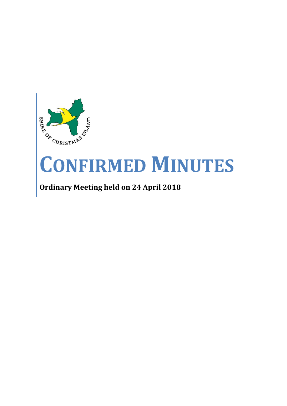

# **CONFIRMED MINUTES**

# **Ordinary Meeting held on 24 April 2018**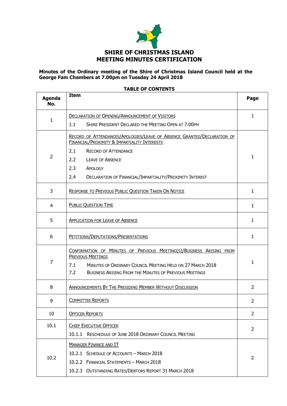

#### **Minutes of the Ordinary meeting of the Shire of Christmas Island Council held at the George Fam Chambers at 7.00pm on Tuesday 24 April 2018**

| Agenda<br>No.  | <b>Item</b>                                                                                                                                                                                                                                  | Page           |
|----------------|----------------------------------------------------------------------------------------------------------------------------------------------------------------------------------------------------------------------------------------------|----------------|
| 1              | <b>DECLARATION OF OPENING/ANNOUNCEMENT OF VISITORS</b>                                                                                                                                                                                       | 1              |
|                | 1.1<br>SHIRE PRESIDENT DECLARED THE MEETING OPEN AT 7.00PM                                                                                                                                                                                   |                |
|                | RECORD OF ATTENDANCES/APOLOGIES/LEAVE OF ABSENCE GRANTED/DECLARATION OF<br><b>FINANCIAL/PROXIMITY &amp; IMPARTIALITY INTERESTS</b>                                                                                                           |                |
|                | 2.1<br><b>RECORD OF ATTENDANCE</b>                                                                                                                                                                                                           |                |
| $\overline{2}$ | 2.2<br><b>LEAVE OF ABSENCE</b>                                                                                                                                                                                                               | $\mathbf{1}$   |
|                | 2.3<br>APOLOGY                                                                                                                                                                                                                               |                |
|                | 2.4<br>DECLARATION OF FINANCIAL/IMPARTIALITY/PROXIMITY INTEREST                                                                                                                                                                              |                |
| 3              | <b>RESPONSE TO PREVIOUS PUBLIC QUESTION TAKEN ON NOTICE</b>                                                                                                                                                                                  |                |
| 4              | <b>PUBLIC QUESTION TIME</b>                                                                                                                                                                                                                  | $\mathbf{1}$   |
| 5              | <b>APPLICATION FOR LEAVE OF ABSENCE</b>                                                                                                                                                                                                      |                |
| 6              | PETITIONS/DEPUTATIONS/PRESENTATIONS                                                                                                                                                                                                          | 1              |
| 7              | CONFIRMATION OF MINUTES OF PREVIOUS MEETING(S)/BUSINESS ARISING FROM<br><b>PREVIOUS MEETINGS</b><br>MINUTES OF ORDINARY COUNCIL MEETING HELD ON 27 MARCH 2018<br>7.1<br>7.2<br><b>BUSINESS ARISING FROM THE MINUTES OF PREVIOUS MEETINGS</b> | $\mathbf{1}$   |
| 8              | ANNOUNCEMENTS BY THE PRESIDING MEMBER WITHOUT DISCUSSION                                                                                                                                                                                     | $\overline{2}$ |
| 9              | <b>COMMITTEE REPORTS</b>                                                                                                                                                                                                                     | 2              |
| 10             | <b>OFFICER REPORTS</b>                                                                                                                                                                                                                       | $\overline{2}$ |
| 10.1           | <b>CHIEF EXECUTIVE OFFICER</b>                                                                                                                                                                                                               | 2              |
|                | 10.1.1 RESCHEDULE OF JUNE 2018 ORDINARY COUNCIL MEETING                                                                                                                                                                                      |                |
|                | <b>MANAGER FINANCE AND IT</b>                                                                                                                                                                                                                |                |
|                | 10.2.1 SCHEDULE OF ACCOUNTS - MARCH 2018                                                                                                                                                                                                     |                |
| 10.2           | 10.2.2 FINANCIAL STATEMENTS - MARCH 2018                                                                                                                                                                                                     | 2              |
|                | 10.2.3 OUTSTANDING RATES/DEBTORS REPORT 31 MARCH 2018                                                                                                                                                                                        |                |

#### **TABLE OF CONTENTS**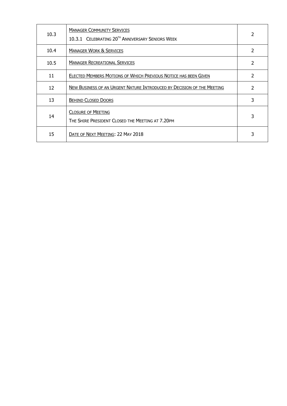| 10.3 | <b>MANAGER COMMUNITY SERVICES</b><br>10.3.1 CELEBRATING 20 <sup>TH</sup> ANNIVERSARY SENIORS WEEK |               |
|------|---------------------------------------------------------------------------------------------------|---------------|
| 10.4 | <b>MANAGER WORK &amp; SERVICES</b>                                                                |               |
| 10.5 | <b>MANAGER RECREATIONAL SERVICES</b>                                                              | 2             |
| 11   | ELECTED MEMBERS MOTIONS OF WHICH PREVIOUS NOTICE HAS BEEN GIVEN                                   | 2             |
| 12   | NEW BUSINESS OF AN URGENT NATURE INTRODUCED BY DECISION OF THE MEETING                            | $\mathcal{P}$ |
| 13   | <b>BEHIND CLOSED DOORS</b>                                                                        | 3             |
| 14   | <b>CLOSURE OF MEETING</b><br>THE SHIRE PRESIDENT CLOSED THE MEETING AT 7.20PM                     | 3             |
| 15   | DATE OF NEXT MEETING: 22 MAY 2018                                                                 | 3             |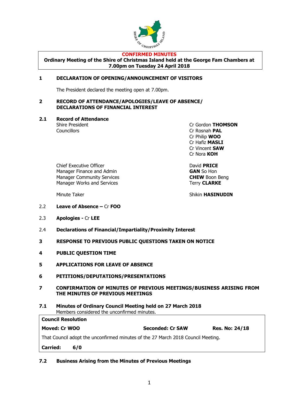

#### **CONFIRMED MINUTES**

**Ordinary Meeting of the Shire of Christmas Island held at the George Fam Chambers at 7.00pm on Tuesday 24 April 2018**

#### **1 DECLARATION OF OPENING/ANNOUNCEMENT OF VISITORS**

The President declared the meeting open at 7.00pm.

#### **2 RECORD OF ATTENDANCE/APOLOGIES/LEAVE OF ABSENCE/ DECLARATIONS OF FINANCIAL INTEREST**

**2.1 Record of Attendance**

Shire President Cr Gordon **THOMSON** Councillors Cr Rosnah **PAL** Cr Philip **WOO** Cr Hafiz **MASLI** Cr Vincent **SAW** Cr Nora **KOH**

Chief Executive Officer **David PRICE** Manager Finance and Admin **GAN** So Hon Manager Community Services **CHEW** Boon Beng Manager Works and Services Terry **CLARKE** 

Minute Taker Shikin **HASINUDIN** 

- 2.2 **Leave of Absence –** Cr **FOO**
- 2.3 **Apologies -** Cr **LEE**
- 2.4 **Declarations of Financial/Impartiality/Proximity Interest**
- **3 RESPONSE TO PREVIOUS PUBLIC QUESTIONS TAKEN ON NOTICE**
- **4 PUBLIC QUESTION TIME**
- **5 APPLICATIONS FOR LEAVE OF ABSENCE**
- **6 PETITIONS/DEPUTATIONS/PRESENTATIONS**
- **7 CONFIRMATION OF MINUTES OF PREVIOUS MEETINGS/BUSINESS ARISING FROM THE MINUTES OF PREVIOUS MEETINGS**
- **7.1 Minutes of Ordinary Council Meeting held on 27 March 2018** Members considered the unconfirmed minutes.

| <b>Council Resolution</b>                                                        |                         |                       |  |  |  |  |
|----------------------------------------------------------------------------------|-------------------------|-----------------------|--|--|--|--|
| Moved: Cr WOO                                                                    | <b>Seconded: Cr SAW</b> | <b>Res. No: 24/18</b> |  |  |  |  |
| That Council adopt the unconfirmed minutes of the 27 March 2018 Council Meeting. |                         |                       |  |  |  |  |
| <b>Carried:</b><br>6/0                                                           |                         |                       |  |  |  |  |

**7.2 Business Arising from the Minutes of Previous Meetings**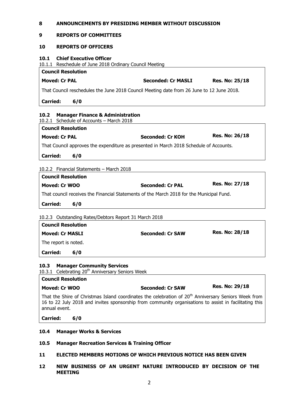| 8                                                                                                                                                                                                                                           | ANNOUNCEMENTS BY PRESIDING MEMBER WITHOUT DISCUSSION |                       |  |  |  |
|---------------------------------------------------------------------------------------------------------------------------------------------------------------------------------------------------------------------------------------------|------------------------------------------------------|-----------------------|--|--|--|
| 9<br><b>REPORTS OF COMMITTEES</b>                                                                                                                                                                                                           |                                                      |                       |  |  |  |
| 10<br><b>REPORTS OF OFFICERS</b>                                                                                                                                                                                                            |                                                      |                       |  |  |  |
| <b>Chief Executive Officer</b><br>10.1<br>10.1.1 Reschedule of June 2018 Ordinary Council Meeting                                                                                                                                           |                                                      |                       |  |  |  |
| <b>Council Resolution</b>                                                                                                                                                                                                                   |                                                      |                       |  |  |  |
| <b>Moved: Cr PAL</b>                                                                                                                                                                                                                        | <b>Seconded: Cr MASLI</b>                            | <b>Res. No: 25/18</b> |  |  |  |
| That Council reschedules the June 2018 Council Meeting date from 26 June to 12 June 2018.                                                                                                                                                   |                                                      |                       |  |  |  |
| <b>Carried:</b><br>6/0                                                                                                                                                                                                                      |                                                      |                       |  |  |  |
| 10.2<br><b>Manager Finance &amp; Administration</b><br>10.2.1 Schedule of Accounts - March 2018                                                                                                                                             |                                                      |                       |  |  |  |
| <b>Council Resolution</b>                                                                                                                                                                                                                   |                                                      |                       |  |  |  |
| <b>Moved: Cr PAL</b>                                                                                                                                                                                                                        | Seconded: Cr KOH                                     | <b>Res. No: 26/18</b> |  |  |  |
| That Council approves the expenditure as presented in March 2018 Schedule of Accounts.                                                                                                                                                      |                                                      |                       |  |  |  |
| 6/0<br><b>Carried:</b>                                                                                                                                                                                                                      |                                                      |                       |  |  |  |
|                                                                                                                                                                                                                                             |                                                      |                       |  |  |  |
| 10.2.2 Financial Statements - March 2018                                                                                                                                                                                                    |                                                      |                       |  |  |  |
| <b>Council Resolution</b>                                                                                                                                                                                                                   |                                                      |                       |  |  |  |
| <b>Moved: Cr WOO</b>                                                                                                                                                                                                                        | <b>Seconded: Cr PAL</b>                              | <b>Res. No: 27/18</b> |  |  |  |
|                                                                                                                                                                                                                                             |                                                      |                       |  |  |  |
| That council receives the Financial Statements of the March 2018 for the Municipal Fund.                                                                                                                                                    |                                                      |                       |  |  |  |
| <b>Carried:</b><br>6/0                                                                                                                                                                                                                      |                                                      |                       |  |  |  |
|                                                                                                                                                                                                                                             |                                                      |                       |  |  |  |
| 10.2.3 Outstanding Rates/Debtors Report 31 March 2018                                                                                                                                                                                       |                                                      |                       |  |  |  |
| <b>Council Resolution</b>                                                                                                                                                                                                                   |                                                      |                       |  |  |  |
| <b>Moved: Cr MASLI</b>                                                                                                                                                                                                                      | <b>Seconded: Cr SAW</b>                              | <b>Res. No: 28/18</b> |  |  |  |
| The report is noted.                                                                                                                                                                                                                        |                                                      |                       |  |  |  |
| <b>Carried:</b><br>6/0                                                                                                                                                                                                                      |                                                      |                       |  |  |  |
| <b>Manager Community Services</b><br>10.3<br>10.3.1 Celebrating 20 <sup>th</sup> Anniversary Seniors Week                                                                                                                                   |                                                      |                       |  |  |  |
| <b>Council Resolution</b>                                                                                                                                                                                                                   |                                                      |                       |  |  |  |
| Moved: Cr WOO                                                                                                                                                                                                                               | <b>Seconded: Cr SAW</b>                              | <b>Res. No: 29/18</b> |  |  |  |
| That the Shire of Christmas Island coordinates the celebration of 20 <sup>th</sup> Anniversary Seniors Week from<br>16 to 22 July 2018 and invites sponsorship from community organisations to assist in facilitating this<br>annual event. |                                                      |                       |  |  |  |
| <b>Carried:</b><br>6/0                                                                                                                                                                                                                      |                                                      |                       |  |  |  |
| 10.4<br><b>Manager Works &amp; Services</b>                                                                                                                                                                                                 |                                                      |                       |  |  |  |
| 10.5<br><b>Manager Recreation Services &amp; Training Officer</b>                                                                                                                                                                           |                                                      |                       |  |  |  |

**12 NEW BUSINESS OF AN URGENT NATURE INTRODUCED BY DECISION OF THE MEETING**